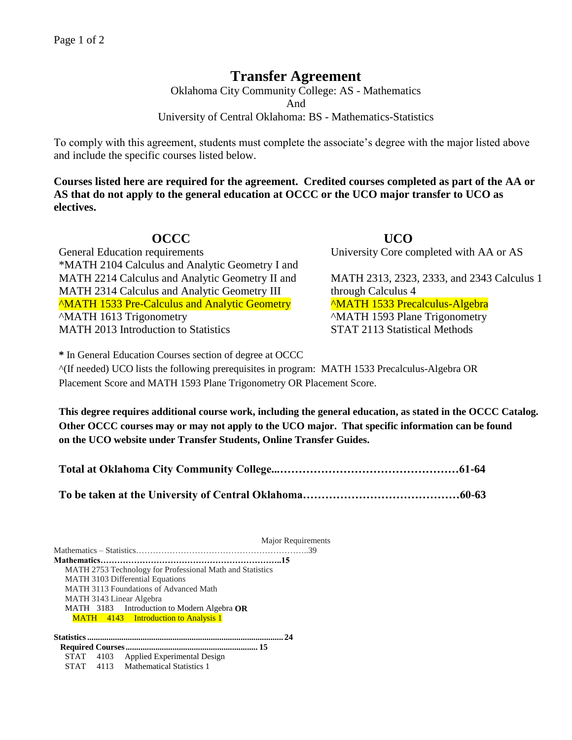## **Transfer Agreement**

Oklahoma City Community College: AS - Mathematics

And

University of Central Oklahoma: BS - Mathematics-Statistics

To comply with this agreement, students must complete the associate's degree with the major listed above and include the specific courses listed below.

**Courses listed here are required for the agreement. Credited courses completed as part of the AA or AS that do not apply to the general education at OCCC or the UCO major transfer to UCO as electives.**

General Education requirements University Core completed with AA or AS \*MATH 2104 Calculus and Analytic Geometry I and MATH 2214 Calculus and Analytic Geometry II and MATH 2313, 2323, 2333, and 2343 Calculus 1 MATH 2314 Calculus and Analytic Geometry III through Calculus 4 ^MATH 1533 Pre-Calculus and Analytic Geometry ^MATH 1533 Precalculus-Algebra ^MATH 1613 Trigonometry ^MATH 1593 Plane Trigonometry MATH 2013 Introduction to Statistics STAT 2113 Statistical Methods

**OCCC UCO** 

**\*** In General Education Courses section of degree at OCCC

^(If needed) UCO lists the following prerequisites in program: MATH 1533 Precalculus-Algebra OR Placement Score and MATH 1593 Plane Trigonometry OR Placement Score.

**This degree requires additional course work, including the general education, as stated in the OCCC Catalog. Other OCCC courses may or may not apply to the UCO major. That specific information can be found on the UCO website under Transfer Students, Online Transfer Guides.** 

Major Requirements Mathematics – Statistics……………………………………………………..39 **Mathematics………………………………………………………..15** MATH 2753 Technology for Professional Math and Statistics MATH 3103 Differential Equations MATH 3113 Foundations of Advanced Math MATH 3143 Linear Algebra MATH 3183 Introduction to Modern Algebra **OR** MATH 4143 Introduction to Analysis 1 **Statistics............................................................................................ 24 Required Courses.............................................................. 15** STAT 4103 Applied Experimental Design STAT 4113 Mathematical Statistics 1